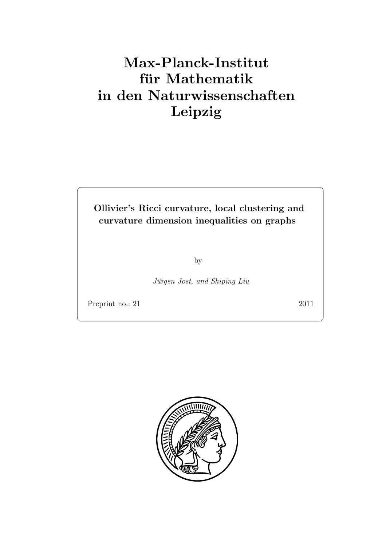# Max-Planck-Institut für Mathematik in den Naturwissenschaften Leipzig

Ollivier's Ricci curvature, local clustering and curvature dimension inequalities on graphs

by

Jürgen Jost, and Shiping Liu

Preprint no.: 21 2011

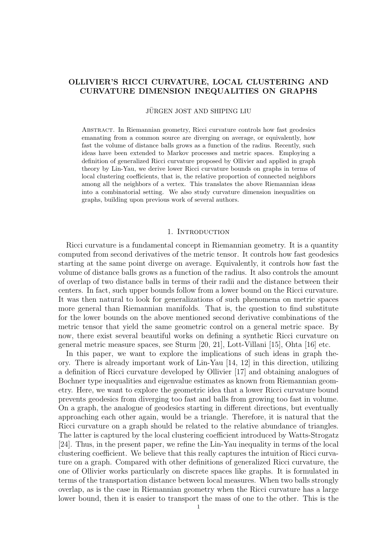# OLLIVIER'S RICCI CURVATURE, LOCAL CLUSTERING AND CURVATURE DIMENSION INEQUALITIES ON GRAPHS

#### JÜRGEN JOST AND SHIPING LIU

Abstract. In Riemannian geometry, Ricci curvature controls how fast geodesics emanating from a common source are diverging on average, or equivalently, how fast the volume of distance balls grows as a function of the radius. Recently, such ideas have been extended to Markov processes and metric spaces. Employing a definition of generalized Ricci curvature proposed by Ollivier and applied in graph theory by Lin-Yau, we derive lower Ricci curvature bounds on graphs in terms of local clustering coefficients, that is, the relative proportion of connected neighbors among all the neighbors of a vertex. This translates the above Riemannian ideas into a combinatorial setting. We also study curvature dimension inequalities on graphs, building upon previous work of several authors.

### 1. INTRODUCTION

Ricci curvature is a fundamental concept in Riemannian geometry. It is a quantity computed from second derivatives of the metric tensor. It controls how fast geodesics starting at the same point diverge on average. Equivalently, it controls how fast the volume of distance balls grows as a function of the radius. It also controls the amount of overlap of two distance balls in terms of their radii and the distance between their centers. In fact, such upper bounds follow from a lower bound on the Ricci curvature. It was then natural to look for generalizations of such phenomena on metric spaces more general than Riemannian manifolds. That is, the question to find substitute for the lower bounds on the above mentioned second derivative combinations of the metric tensor that yield the same geometric control on a general metric space. By now, there exist several beautiful works on defining a synthetic Ricci curvature on general metric measure spaces, see Sturm [20, 21], Lott-Villani [15], Ohta [16] etc.

In this paper, we want to explore the implications of such ideas in graph theory. There is already important work of Lin-Yau [14, 12] in this direction, utilizing a definition of Ricci curvature developed by Ollivier [17] and obtaining analogues of Bochner type inequalities and eigenvalue estimates as known from Riemannian geometry. Here, we want to explore the geometric idea that a lower Ricci curvature bound prevents geodesics from diverging too fast and balls from growing too fast in volume. On a graph, the analogue of geodesics starting in different directions, but eventually approaching each other again, would be a triangle. Therefore, it is natural that the Ricci curvature on a graph should be related to the relative abundance of triangles. The latter is captured by the local clustering coefficient introduced by Watts-Strogatz [24]. Thus, in the present paper, we refine the Lin-Yau inequality in terms of the local clustering coefficient. We believe that this really captures the intuition of Ricci curvature on a graph. Compared with other definitions of generalized Ricci curvature, the one of Ollivier works particularly on discrete spaces like graphs. It is formulated in terms of the transportation distance between local measures. When two balls strongly overlap, as is the case in Riemannian geometry when the Ricci curvature has a large lower bound, then it is easier to transport the mass of one to the other. This is the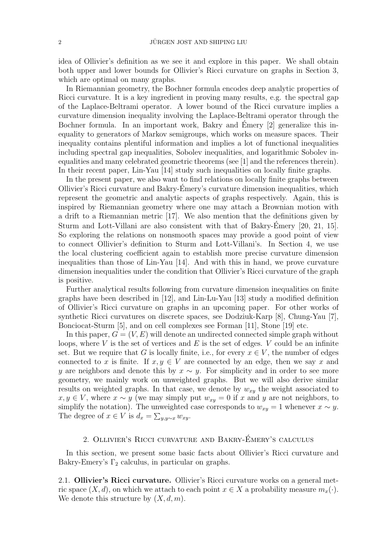idea of Ollivier's definition as we see it and explore in this paper. We shall obtain both upper and lower bounds for Ollivier's Ricci curvature on graphs in Section 3, which are optimal on many graphs.

In Riemannian geometry, the Bochner formula encodes deep analytic properties of Ricci curvature. It is a key ingredient in proving many results, e.g. the spectral gap of the Laplace-Beltrami operator. A lower bound of the Ricci curvature implies a curvature dimension inequality involving the Laplace-Beltrami operator through the Bochner formula. In an important work, Bakry and Emery [2] generalize this inequality to generators of Markov semigroups, which works on measure spaces. Their inequality contains plentiful information and implies a lot of functional inequalities including spectral gap inequalities, Sobolev inequalities, and logarithmic Sobolev inequalities and many celebrated geometric theorems (see [1] and the references therein). In their recent paper, Lin-Yau [14] study such inequalities on locally finite graphs.

In the present paper, we also want to find relations on locally finite graphs between Ollivier's Ricci curvature and Bakry-Emery's curvature dimension inequalities, which ´ represent the geometric and analytic aspects of graphs respectively. Again, this is inspired by Riemannian geometry where one may attach a Brownian motion with a drift to a Riemannian metric [17]. We also mention that the definitions given by Sturm and Lott-Villani are also consistent with that of Bakry-Émery [20, 21, 15]. So exploring the relations on nonsmooth spaces may provide a good point of view to connect Ollivier's definition to Sturm and Lott-Villani's. In Section 4, we use the local clustering coefficient again to establish more precise curvature dimension inequalities than those of Lin-Yau [14]. And with this in hand, we prove curvature dimension inequalities under the condition that Ollivier's Ricci curvature of the graph is positive.

Further analytical results following from curvature dimension inequalities on finite graphs have been described in [12], and Lin-Lu-Yau [13] study a modified definition of Ollivier's Ricci curvature on graphs in an upcoming paper. For other works of synthetic Ricci curvatures on discrete spaces, see Dodziuk-Karp [8], Chung-Yau [7], Bonciocat-Sturm [5], and on cell complexes see Forman [11], Stone [19] etc.

In this paper,  $G = (V, E)$  will denote an undirected connected simple graph without loops, where  $V$  is the set of vertices and  $E$  is the set of edges.  $V$  could be an infinite set. But we require that G is locally finite, i.e., for every  $x \in V$ , the number of edges connected to x is finite. If  $x, y \in V$  are connected by an edge, then we say x and y are neighbors and denote this by  $x \sim y$ . For simplicity and in order to see more geometry, we mainly work on unweighted graphs. But we will also derive similar results on weighted graphs. In that case, we denote by  $w_{xy}$  the weight associated to  $x, y \in V$ , where  $x \sim y$  (we may simply put  $w_{xy} = 0$  if x and y are not neighbors, to simplify the notation). The unweighted case corresponds to  $w_{xy} = 1$  whenever  $x \sim y$ . The degree of  $x \in V$  is  $d_x = \sum_{y,y \sim x} w_{xy}$ .

## 2. Ollivier's Ricci curvature and Bakry-Emery's calculus ´

In this section, we present some basic facts about Ollivier's Ricci curvature and Bakry-Emery's  $\Gamma_2$  calculus, in particular on graphs.

2.1. Ollivier's Ricci curvature. Ollivier's Ricci curvature works on a general metric space  $(X, d)$ , on which we attach to each point  $x \in X$  a probability measure  $m_x(\cdot)$ . We denote this structure by  $(X, d, m)$ .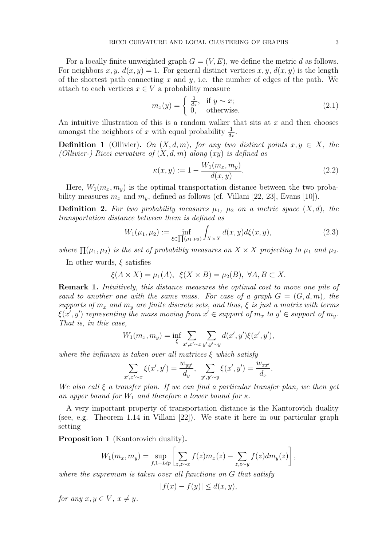For a locally finite unweighted graph  $G = (V, E)$ , we define the metric d as follows. For neighbors x, y,  $d(x, y) = 1$ . For general distinct vertices x, y,  $d(x, y)$  is the length of the shortest path connecting x and y, i.e. the number of edges of the path. We attach to each vertices  $x \in V$  a probability measure

$$
m_x(y) = \begin{cases} \frac{1}{d_x}, & \text{if } y \sim x; \\ 0, & \text{otherwise.} \end{cases}
$$
 (2.1)

An intuitive illustration of this is a random walker that sits at  $x$  and then chooses amongst the neighbors of x with equal probability  $\frac{1}{d_x}$ .

**Definition 1** (Ollivier). On  $(X, d, m)$ , for any two distinct points  $x, y \in X$ , the (Ollivier-) Ricci curvature of  $(X, d, m)$  along  $(xy)$  is defined as

$$
\kappa(x, y) := 1 - \frac{W_1(m_x, m_y)}{d(x, y)}.
$$
\n(2.2)

Here,  $W_1(m_x, m_y)$  is the optimal transportation distance between the two probability measures  $m_x$  and  $m_y$ , defined as follows (cf. Villani [22, 23], Evans [10]).

**Definition 2.** For two probability measures  $\mu_1$ ,  $\mu_2$  on a metric space  $(X, d)$ , the transportation distance between them is defined as

$$
W_1(\mu_1, \mu_2) := \inf_{\xi \in \prod(\mu_1, \mu_2)} \int_{X \times X} d(x, y) d\xi(x, y), \tag{2.3}
$$

where  $\Pi(\mu_1, \mu_2)$  is the set of probability measures on  $X \times X$  projecting to  $\mu_1$  and  $\mu_2$ .

In other words,  $\xi$  satisfies

$$
\xi(A \times X) = \mu_1(A), \ \xi(X \times B) = \mu_2(B), \ \forall A, B \subset X.
$$

Remark 1. Intuitively, this distance measures the optimal cost to move one pile of sand to another one with the same mass. For case of a graph  $G = (G, d, m)$ , the supports of  $m_x$  and  $m_y$  are finite discrete sets, and thus,  $\xi$  is just a matrix with terms  $\xi(x', y')$  representing the mass moving from  $x' \in support$  of  $m_x$  to  $y' \in support$  of  $m_y$ . That is, in this case,

$$
W_1(m_x, m_y) = \inf_{\xi} \sum_{x', x' \sim x} \sum_{y', y' \sim y} d(x', y') \xi(x', y'),
$$

where the infimum is taken over all matrices  $\xi$  which satisfy

$$
\sum_{x',x'\sim x} \xi(x',y') = \frac{w_{yy'}}{d_y}, \sum_{y',y'\sim y} \xi(x',y') = \frac{w_{xx'}}{d_x}.
$$

We also call  $\xi$  a transfer plan. If we can find a particular transfer plan, we then get an upper bound for  $W_1$  and therefore a lower bound for  $\kappa$ .

A very important property of transportation distance is the Kantorovich duality (see, e.g. Theorem 1.14 in Villani [22]). We state it here in our particular graph setting

Proposition 1 (Kantorovich duality).

$$
W_1(m_x, m_y) = \sup_{f, 1 - Lip} \left[ \sum_{z, z \sim x} f(z) m_x(z) - \sum_{z, z \sim y} f(z) dm_y(z) \right],
$$

where the supremum is taken over all functions on G that satisfy

$$
|f(x) - f(y)| \le d(x, y),
$$

for any  $x, y \in V$ ,  $x \neq y$ .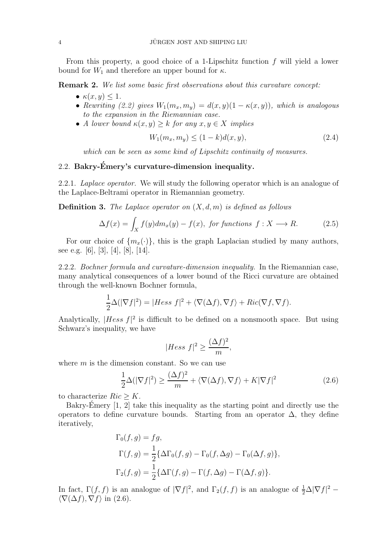From this property, a good choice of a 1-Lipschitz function f will yield a lower bound for  $W_1$  and therefore an upper bound for  $\kappa$ .

Remark 2. We list some basic first observations about this curvature concept:

- $\kappa(x, y) \leq 1$ .
- Rewriting (2.2) gives  $W_1(m_x, m_y) = d(x, y)(1 \kappa(x, y))$ , which is analogous to the expansion in the Riemannian case.
- A lower bound  $\kappa(x, y) \geq k$  for any  $x, y \in X$  implies

$$
W_1(m_x, m_y) \le (1 - k)d(x, y), \tag{2.4}
$$

which can be seen as some kind of Lipschitz continuity of measures.

#### 2.2. Bakry-Émery's curvature-dimension inequality.

2.2.1. Laplace operator. We will study the following operator which is an analogue of the Laplace-Beltrami operator in Riemannian geometry.

**Definition 3.** The Laplace operator on  $(X, d, m)$  is defined as follows

$$
\Delta f(x) = \int_X f(y) dm_x(y) - f(x), \text{ for functions } f: X \longrightarrow R. \tag{2.5}
$$

For our choice of  $\{m_x(\cdot)\}\$ , this is the graph Laplacian studied by many authors, see e.g. [6], [3], [4], [8], [14].

2.2.2. Bochner formula and curvature-dimension inequality. In the Riemannian case, many analytical consequences of a lower bound of the Ricci curvature are obtained through the well-known Bochner formula,

$$
\frac{1}{2}\Delta(|\nabla f|^2) = |Hess\ f|^2 + \langle \nabla(\Delta f), \nabla f \rangle + Ric(\nabla f, \nabla f).
$$

Analytically,  $|Hess f|^2$  is difficult to be defined on a nonsmooth space. But using Schwarz's inequality, we have

$$
|Hess f|^2 \ge \frac{(\Delta f)^2}{m},
$$

where  $m$  is the dimension constant. So we can use

$$
\frac{1}{2}\Delta(|\nabla f|^2) \ge \frac{(\Delta f)^2}{m} + \langle \nabla(\Delta f), \nabla f \rangle + K|\nabla f|^2 \tag{2.6}
$$

to characterize  $Ric > K$ .

Bakry-Emery  $[1, 2]$  take this inequality as the starting point and directly use the operators to define curvature bounds. Starting from an operator  $\Delta$ , they define iteratively,

$$
\Gamma_0(f,g) = fg,
$$
  
\n
$$
\Gamma(f,g) = \frac{1}{2} \{ \Delta \Gamma_0(f,g) - \Gamma_0(f,\Delta g) - \Gamma_0(\Delta f,g) \},
$$
  
\n
$$
\Gamma_2(f,g) = \frac{1}{2} \{ \Delta \Gamma(f,g) - \Gamma(f,\Delta g) - \Gamma(\Delta f,g) \}.
$$

In fact,  $\Gamma(f, f)$  is an analogue of  $|\nabla f|^2$ , and  $\Gamma_2(f, f)$  is an analogue of  $\frac{1}{2}\Delta |\nabla f|^2$  –  $\langle \nabla(\Delta f), \nabla f \rangle$  in (2.6).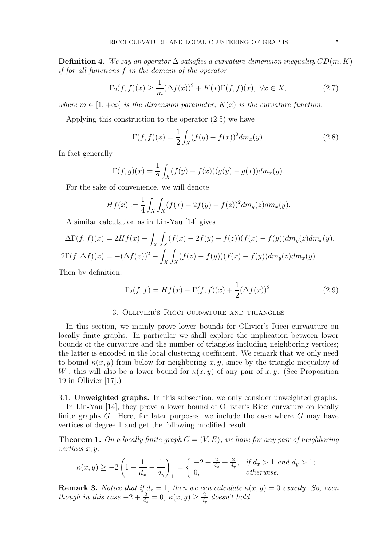**Definition 4.** We say an operator  $\Delta$  satisfies a curvature-dimension inequality  $CD(m, K)$ if for all functions f in the domain of the operator

$$
\Gamma_2(f,f)(x) \ge \frac{1}{m} (\Delta f(x))^2 + K(x)\Gamma(f,f)(x), \ \forall x \in X,
$$
\n(2.7)

where  $m \in [1, +\infty]$  is the dimension parameter,  $K(x)$  is the curvature function.

Applying this construction to the operator (2.5) we have

$$
\Gamma(f, f)(x) = \frac{1}{2} \int_X (f(y) - f(x))^2 dm_x(y), \tag{2.8}
$$

In fact generally

$$
\Gamma(f,g)(x) = \frac{1}{2} \int_X (f(y) - f(x))(g(y) - g(x)) dm_x(y).
$$

For the sake of convenience, we will denote

$$
Hf(x) := \frac{1}{4} \int_X \int_X (f(x) - 2f(y) + f(z))^2 dm_y(z) dm_x(y).
$$

A similar calculation as in Lin-Yau [14] gives

$$
\Delta\Gamma(f,f)(x) = 2Hf(x) - \int_X \int_X (f(x) - 2f(y) + f(z))(f(x) - f(y))dm_y(z)dm_x(y),
$$
  

$$
2\Gamma(f,\Delta f)(x) = -(\Delta f(x))^2 - \int_X \int_X (f(z) - f(y))(f(x) - f(y))dm_y(z)dm_x(y).
$$

Then by definition,

$$
\Gamma_2(f, f) = Hf(x) - \Gamma(f, f)(x) + \frac{1}{2}(\Delta f(x))^2.
$$
 (2.9)

## 3. Ollivier's Ricci curvature and triangles

In this section, we mainly prove lower bounds for Ollivier's Ricci curvauture on locally finite graphs. In particular we shall explore the implication between lower bounds of the curvature and the number of triangles including neighboring vertices; the latter is encoded in the local clustering coefficient. We remark that we only need to bound  $\kappa(x, y)$  from below for neighboring x, y, since by the triangle inequality of  $W_1$ , this will also be a lower bound for  $\kappa(x, y)$  of any pair of x, y. (See Proposition 19 in Ollivier [17].)

3.1. Unweighted graphs. In this subsection, we only consider unweighted graphs.

In Lin-Yau [14], they prove a lower bound of Ollivier's Ricci curvature on locally finite graphs  $G$ . Here, for later purposes, we include the case where  $G$  may have vertices of degree 1 and get the following modified result.

**Theorem 1.** On a locally finite graph  $G = (V, E)$ , we have for any pair of neighboring vertices x, y,

$$
\kappa(x, y) \ge -2\left(1 - \frac{1}{d_x} - \frac{1}{d_y}\right)_+ = \begin{cases} -2 + \frac{2}{d_x} + \frac{2}{d_y}, & \text{if } d_x > 1 \text{ and } d_y > 1; \\ 0, & \text{otherwise.} \end{cases}
$$

**Remark 3.** Notice that if  $d_x = 1$ , then we can calculate  $\kappa(x, y) = 0$  exactly. So, even though in this case  $-2 + \frac{2}{d_x} = 0$ ,  $\kappa(x, y) \ge \frac{2}{d_x}$  $\frac{2}{d_y}$  doesn't hold.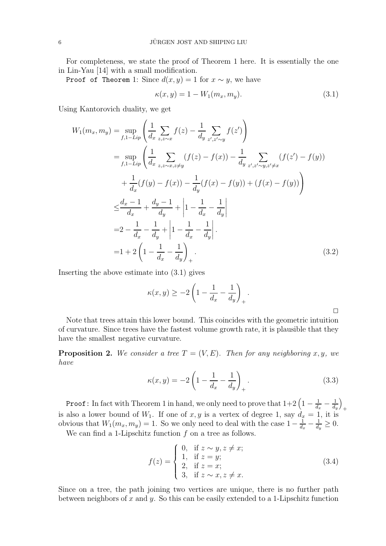For completeness, we state the proof of Theorem 1 here. It is essentially the one in Lin-Yau [14] with a small modification.

Proof of Theorem 1: Since  $d(x, y) = 1$  for  $x \sim y$ , we have

$$
\kappa(x, y) = 1 - W_1(m_x, m_y). \tag{3.1}
$$

Using Kantorovich duality, we get

$$
W_{1}(m_{x}, m_{y}) = \sup_{f, 1 - Lip} \left( \frac{1}{d_{x}} \sum_{z, z \sim x} f(z) - \frac{1}{d_{y}} \sum_{z', z' \sim y} f(z') \right)
$$
  
\n
$$
= \sup_{f, 1 - Lip} \left( \frac{1}{d_{x}} \sum_{z, z \sim x, z \neq y} (f(z) - f(x)) - \frac{1}{d_{y}} \sum_{z', z' \sim y, z' \neq x} (f(z') - f(y)) \right)
$$
  
\n
$$
+ \frac{1}{d_{x}} (f(y) - f(x)) - \frac{1}{d_{y}} (f(x) - f(y)) + (f(x) - f(y))
$$
  
\n
$$
\leq \frac{d_{x} - 1}{d_{x}} + \frac{d_{y} - 1}{d_{y}} + \left| 1 - \frac{1}{d_{x}} - \frac{1}{d_{y}} \right|
$$
  
\n
$$
= 2 - \frac{1}{d_{x}} - \frac{1}{d_{y}} + \left| 1 - \frac{1}{d_{x}} - \frac{1}{d_{y}} \right|.
$$
  
\n
$$
= 1 + 2 \left( 1 - \frac{1}{d_{x}} - \frac{1}{d_{y}} \right)_{+}.
$$
  
\n(3.2)

Inserting the above estimate into (3.1) gives

$$
\kappa(x,y) \ge -2\left(1 - \frac{1}{d_x} - \frac{1}{d_y}\right)_+.
$$

Note that trees attain this lower bound. This coincides with the geometric intuition of curvature. Since trees have the fastest volume growth rate, it is plausible that they have the smallest negative curvature.

**Proposition 2.** We consider a tree  $T = (V, E)$ . Then for any neighboring x, y, we have

$$
\kappa(x, y) = -2\left(1 - \frac{1}{d_x} - \frac{1}{d_y}\right)_+.
$$
\n(3.3)

**Proof**: In fact with Theorem 1 in hand, we only need to prove that  $1+2\left(1-\frac{1}{d}\right)$  $\frac{1}{d_x} - \frac{1}{d_t}$  $d_y$  $\setminus$ + is also a lower bound of  $W_1$ . If one of  $x, y$  is a vertex of degree 1, say  $d_x = 1$ , it is obvious that  $W_1(m_x, m_y) = 1$ . So we only need to deal with the case  $1 - \frac{1}{d_x}$  $\frac{1}{d_x} - \frac{1}{d_y}$  $\frac{1}{d_y} \geq 0.$ 

We can find a 1-Lipschitz function  $f$  on a tree as follows.

$$
f(z) = \begin{cases} 0, & \text{if } z \sim y, z \neq x; \\ 1, & \text{if } z = y; \\ 2, & \text{if } z = x; \\ 3, & \text{if } z \sim x, z \neq x. \end{cases}
$$
 (3.4)

Since on a tree, the path joining two vertices are unique, there is no further path between neighbors of x and y. So this can be easily extended to a 1-Lipschitz function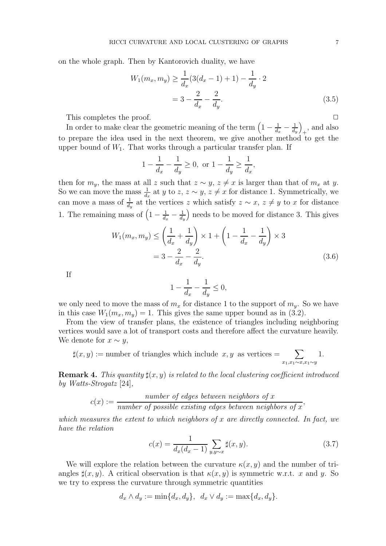on the whole graph. Then by Kantorovich duality, we have

$$
W_1(m_x, m_y) \ge \frac{1}{d_x} (3(d_x - 1) + 1) - \frac{1}{d_y} \cdot 2
$$
  
=  $3 - \frac{2}{d_x} - \frac{2}{d_y}.$  (3.5)

This completes the proof.  $\Box$ 

In order to make clear the geometric meaning of the term  $\left(1-\frac{1}{d}\right)$  $\frac{1}{d_x} - \frac{1}{d_t}$  $d_y$  $\setminus$  $_{+}$ , and also to prepare the idea used in the next theorem, we give another method to get the upper bound of  $W_1$ . That works through a particular transfer plan. If

$$
1 - \frac{1}{d_x} - \frac{1}{d_y} \ge 0
$$
, or  $1 - \frac{1}{d_y} \ge \frac{1}{d_x}$ ,

then for  $m_y$ , the mass at all z such that  $z \sim y$ ,  $z \neq x$  is larger than that of  $m_x$  at y. So we can move the mass  $\frac{1}{d_x}$  at y to z,  $z \sim y$ ,  $z \neq x$  for distance 1. Symmetrically, we can move a mass of  $\frac{1}{d_y}$  at the vertices z which satisfy  $z \sim x$ ,  $z \neq y$  to x for distance 1. The remaining mass of  $\left(1-\frac{1}{d}\right)$  $\frac{1}{d_x} - \frac{1}{d_y}$  $d_y$ ) needs to be moved for distance 3. This gives

$$
W_1(m_x, m_y) \le \left(\frac{1}{d_x} + \frac{1}{d_y}\right) \times 1 + \left(1 - \frac{1}{d_x} - \frac{1}{d_y}\right) \times 3
$$
  
=  $3 - \frac{2}{d_x} - \frac{2}{d_y}.$  (3.6)

If

$$
1-\frac{1}{d_x}-\frac{1}{d_y}\leq 0,
$$

we only need to move the mass of  $m_x$  for distance 1 to the support of  $m_y$ . So we have in this case  $W_1(m_x, m_y) = 1$ . This gives the same upper bound as in (3.2).

From the view of transfer plans, the existence of triangles including neighboring vertices would save a lot of transport costs and therefore affect the curvature heavily. We denote for  $x \sim y$ ,

$$
\sharp(x,y) :=
$$
 number of triangles which include  $x, y$  as vertices =  $\sum_{x_1, x_1 \sim x, x_1 \sim y} 1$ .

**Remark 4.** This quantity  $\sharp(x, y)$  is related to the local clustering coefficient introduced by Watts-Strogatz [24],

$$
c(x) := \frac{number\ of\ edges\ between\ neighbors\ of\ x}{number\ of\ possible\ existing\ edges\ between\ neighbors\ of\ x},
$$

which measures the extent to which neighbors of  $x$  are directly connected. In fact, we have the relation

$$
c(x) = \frac{1}{d_x(d_x - 1)} \sum_{y, y \sim x} \sharp(x, y).
$$
 (3.7)

We will explore the relation between the curvature  $\kappa(x, y)$  and the number of triangles  $\sharp(x, y)$ . A critical observation is that  $\kappa(x, y)$  is symmetric w.r.t. x and y. So we try to express the curvature through symmetric quantities

$$
d_x \wedge d_y := \min\{d_x, d_y\}, \ d_x \vee d_y := \max\{d_x, d_y\}.
$$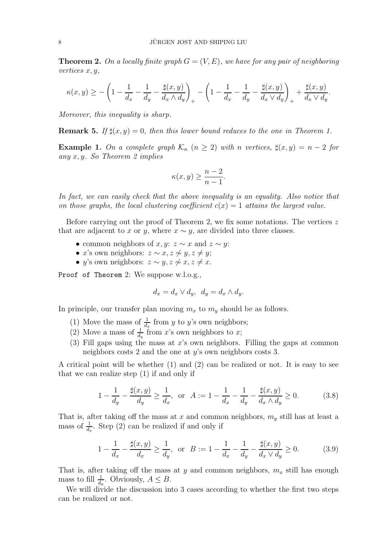**Theorem 2.** On a locally finite graph  $G = (V, E)$ , we have for any pair of neighboring vertices x, y,

$$
\kappa(x,y) \ge -\left(1 - \frac{1}{d_x} - \frac{1}{d_y} - \frac{\sharp(x,y)}{d_x \wedge d_y}\right)_+ - \left(1 - \frac{1}{d_x} - \frac{1}{d_y} - \frac{\sharp(x,y)}{d_x \vee d_y}\right)_+ + \frac{\sharp(x,y)}{d_x \vee d_y}.
$$

Moreover, this inequality is sharp.

**Remark 5.** If  $\sharp(x, y) = 0$ , then this lower bound reduces to the one in Theorem 1.

**Example 1.** On a complete graph  $\mathcal{K}_n$   $(n \geq 2)$  with n vertices,  $\sharp(x, y) = n - 2$  for any  $x, y$ . So Theorem 2 implies

$$
\kappa(x, y) \ge \frac{n-2}{n-1}.
$$

In fact, we can easily check that the above inequality is an equality. Also notice that on those graphs, the local clustering coefficient  $c(x) = 1$  attains the largest value.

Before carrying out the proof of Theorem 2, we fix some notations. The vertices z that are adjacent to x or y, where  $x \sim y$ , are divided into three classes.

- common neighbors of  $x, y: z \sim x$  and  $z \sim y$ :
- x's own neighbors:  $z \sim x, z \not\sim y, z \not= y;$
- y's own neighbors:  $z \sim y, z \not\sim x, z \neq x$ .

Proof of Theorem 2: We suppose w.l.o.g.,

$$
d_x = d_x \vee d_y, \ \ d_y = d_x \wedge d_y.
$$

In principle, our transfer plan moving  $m_x$  to  $m_y$  should be as follows.

- (1) Move the mass of  $\frac{1}{d_x}$  from y to y's own neighbors;
- (2) Move a mass of  $\frac{1}{d_y}$  from x's own neighbors to x;
- (3) Fill gaps using the mass at  $x$ 's own neighbors. Filling the gaps at common neighbors costs 2 and the one at y's own neighbors costs 3.

A critical point will be whether (1) and (2) can be realized or not. It is easy to see that we can realize step (1) if and only if

$$
1 - \frac{1}{d_y} - \frac{\sharp(x, y)}{d_y} \ge \frac{1}{d_x}, \text{ or } A := 1 - \frac{1}{d_x} - \frac{1}{d_y} - \frac{\sharp(x, y)}{d_x \wedge d_y} \ge 0.
$$
 (3.8)

That is, after taking off the mass at x and common neighbors,  $m<sub>y</sub>$  still has at least a mass of  $\frac{1}{d_x}$ . Step (2) can be realized if and only if

$$
1 - \frac{1}{d_x} - \frac{\sharp(x, y)}{d_x} \ge \frac{1}{d_y}, \text{ or } B := 1 - \frac{1}{d_x} - \frac{1}{d_y} - \frac{\sharp(x, y)}{d_x \vee d_y} \ge 0.
$$
 (3.9)

That is, after taking off the mass at y and common neighbors,  $m_x$  still has enough mass to fill  $\frac{1}{d_y}$ . Obviously,  $A \leq B$ .

We will divide the discussion into 3 cases according to whether the first two steps can be realized or not.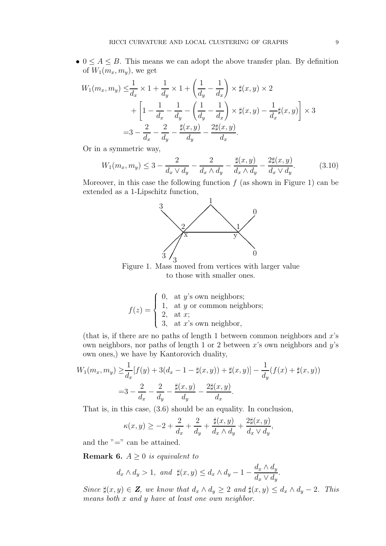•  $0 \leq A \leq B$ . This means we can adopt the above transfer plan. By definition of  $W_1(m_x, m_y)$ , we get

$$
W_1(m_x, m_y) \leq \frac{1}{d_x} \times 1 + \frac{1}{d_y} \times 1 + \left(\frac{1}{d_y} - \frac{1}{d_x}\right) \times \sharp(x, y) \times 2
$$
  
+ 
$$
\left[1 - \frac{1}{d_x} - \frac{1}{d_y} - \left(\frac{1}{d_y} - \frac{1}{d_x}\right) \times \sharp(x, y) - \frac{1}{d_x} \sharp(x, y)\right] \times 3
$$
  
= 
$$
3 - \frac{2}{d_x} - \frac{2}{d_y} - \frac{\sharp(x, y)}{d_y} - \frac{2\sharp(x, y)}{d_x}.
$$

Or in a symmetric way,

$$
W_1(m_x, m_y) \le 3 - \frac{2}{d_x \vee d_y} - \frac{2}{d_x \wedge d_y} - \frac{\sharp(x, y)}{d_x \wedge d_y} - \frac{2\sharp(x, y)}{d_x \vee d_y}.
$$
 (3.10)

Moreover, in this case the following function  $f$  (as shown in Figure 1) can be extended as a 1-Lipschitz function,



Figure 1. Mass moved from vertices with larger value to those with smaller ones.

$$
f(z) = \begin{cases} 0, & \text{at } y \text{'s own neighbors;} \\ 1, & \text{at } y \text{ or common neighbors;} \\ 2, & \text{at } x; \\ 3, & \text{at } x \text{'s own neighbor,} \end{cases}
$$

(that is, if there are no paths of length 1 between common neighbors and  $x$ 's own neighbors, nor paths of length 1 or 2 between  $x$ 's own neighbors and  $y$ 's own ones,) we have by Kantorovich duality,

$$
W_1(m_x, m_y) \ge \frac{1}{d_x} [f(y) + 3(d_x - 1 - \sharp(x, y)) + \sharp(x, y)] - \frac{1}{d_y} (f(x) + \sharp(x, y))
$$
  
=  $3 - \frac{2}{d_x} - \frac{2}{d_y} - \frac{\sharp(x, y)}{d_y} - \frac{2\sharp(x, y)}{d_x}.$ 

That is, in this case, (3.6) should be an equality. In conclusion,

$$
\kappa(x,y) \ge -2 + \frac{2}{d_x} + \frac{2}{d_y} + \frac{\sharp(x,y)}{d_x \wedge d_y} + \frac{2\sharp(x,y)}{d_x \vee d_y},
$$

and the "=" can be attained.

**Remark 6.**  $A \geq 0$  is equivalent to

$$
d_x \wedge d_y > 1, \text{ and } \sharp(x, y) \le d_x \wedge d_y - 1 - \frac{d_x \wedge d_y}{d_x \vee d_y}.
$$

Since  $\sharp(x, y) \in \mathbf{Z}$ , we know that  $d_x \wedge d_y \geq 2$  and  $\sharp(x, y) \leq d_x \wedge d_y - 2$ . This means both x and y have at least one own neighbor.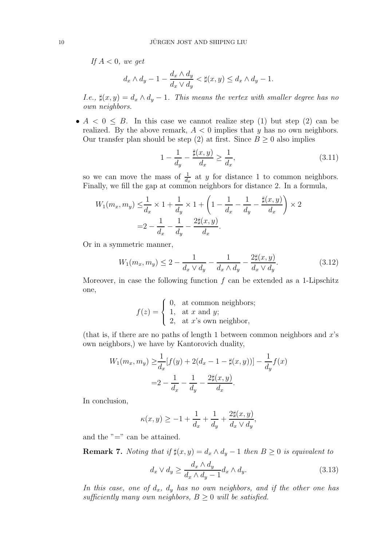If  $A < 0$ , we get

$$
d_x \wedge d_y - 1 - \frac{d_x \wedge d_y}{d_x \vee d_y} < \sharp(x, y) \leq d_x \wedge d_y - 1.
$$

I.e.,  $\sharp(x, y) = d_x \wedge d_y - 1$ . This means the vertex with smaller degree has no own neighbors.

•  $A < 0 \leq B$ . In this case we cannot realize step (1) but step (2) can be realized. By the above remark,  $A < 0$  implies that y has no own neighbors. Our transfer plan should be step (2) at first. Since  $B \geq 0$  also implies

$$
1 - \frac{1}{d_y} - \frac{\sharp(x, y)}{d_x} \ge \frac{1}{d_x},\tag{3.11}
$$

so we can move the mass of  $\frac{1}{d_x}$  at y for distance 1 to common neighbors. Finally, we fill the gap at common neighbors for distance 2. In a formula,

$$
W_1(m_x, m_y) \leq \frac{1}{d_x} \times 1 + \frac{1}{d_y} \times 1 + \left(1 - \frac{1}{d_x} - \frac{1}{d_y} - \frac{\sharp(x, y)}{d_x}\right) \times 2
$$
  
=  $2 - \frac{1}{d_x} - \frac{1}{d_y} - \frac{2\sharp(x, y)}{d_x}.$ 

Or in a symmetric manner,

$$
W_1(m_x, m_y) \le 2 - \frac{1}{d_x \vee d_y} - \frac{1}{d_x \wedge d_y} - \frac{2 \sharp (x, y)}{d_x \vee d_y}.
$$
 (3.12)

Moreover, in case the following function  $f$  can be extended as a 1-Lipschitz one,

$$
f(z) = \begin{cases} 0, & \text{at common neighbors;} \\ 1, & \text{at } x \text{ and } y; \\ 2, & \text{at } x \text{'s own neighbor,} \end{cases}
$$

(that is, if there are no paths of length 1 between common neighbors and  $x$ 's own neighbors,) we have by Kantorovich duality,

$$
W_1(m_x, m_y) \ge \frac{1}{d_x} [f(y) + 2(d_x - 1 - \sharp(x, y))] - \frac{1}{d_y} f(x)
$$

$$
= 2 - \frac{1}{d_x} - \frac{1}{d_y} - \frac{2\sharp(x, y)}{d_x}.
$$

In conclusion,

$$
\kappa(x,y) \geq -1 + \frac{1}{d_x} + \frac{1}{d_y} + \frac{2\sharp(x,y)}{d_x \vee d_y},
$$

and the " $=$ " can be attained.

Remark 7. Noting that if  $\sharp(x, y) = d_x \wedge d_y - 1$  then  $B \geq 0$  is equivalent to

$$
d_x \vee d_y \ge \frac{d_x \wedge d_y}{d_x \wedge d_y - 1} d_x \wedge d_y. \tag{3.13}
$$

In this case, one of  $d_x$ ,  $d_y$  has no own neighbors, and if the other one has sufficiently many own neighbors,  $B \geq 0$  will be satisfied.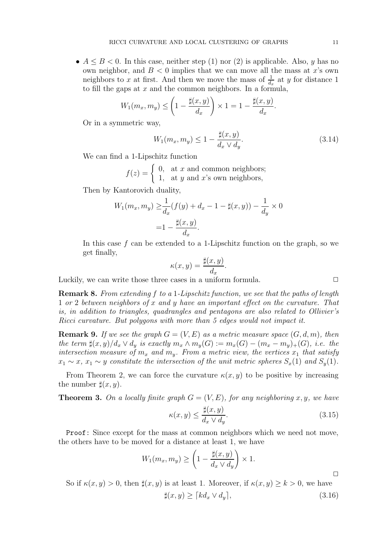•  $A \leq B \leq 0$ . In this case, neither step (1) nor (2) is applicable. Also, y has no own neighbor, and  $B < 0$  implies that we can move all the mass at x's own neighbors to x at first. And then we move the mass of  $\frac{1}{d_x}$  at y for distance 1 to fill the gaps at  $x$  and the common neighbors. In a formula,

$$
W_1(m_x, m_y) \le \left(1 - \frac{\sharp(x, y)}{d_x}\right) \times 1 = 1 - \frac{\sharp(x, y)}{d_x}.
$$

Or in a symmetric way,

$$
W_1(m_x, m_y) \le 1 - \frac{\sharp(x, y)}{d_x \lor d_y}.\tag{3.14}
$$

We can find a 1-Lipschitz function

$$
f(z) = \begin{cases} 0, & \text{at } x \text{ and common neighbors;} \\ 1, & \text{at } y \text{ and } x \text{'s own neighbors,} \end{cases}
$$

Then by Kantorovich duality,

$$
W_1(m_x, m_y) \ge \frac{1}{d_x} (f(y) + d_x - 1 - \sharp(x, y)) - \frac{1}{d_y} \times 0
$$
  
=  $1 - \frac{\sharp(x, y)}{d_x}.$ 

In this case  $f$  can be extended to a 1-Lipschitz function on the graph, so we get finally,

$$
\kappa(x, y) = \frac{\sharp(x, y)}{d_x}.
$$

Luckily, we can write those three cases in a uniform formula.  $\Box$ 

Remark 8. From extending f to a 1-Lipschitz function, we see that the paths of length 1 or 2 between neighbors of x and y have an important effect on the curvature. That is, in addition to triangles, quadrangles and pentagons are also related to Ollivier's Ricci curvature. But polygons with more than 5 edges would not impact it.

**Remark 9.** If we see the graph  $G = (V, E)$  as a metric measure space  $(G, d, m)$ , then the term  $\sharp(x, y)/d_x \vee d_y$  is exactly  $m_x \wedge m_y(G) := m_x(G) - (m_x - m_y)_+(G)$ , i.e. the intersection measure of  $m_x$  and  $m_y$ . From a metric view, the vertices  $x_1$  that satisfy  $x_1 \sim x$ ,  $x_1 \sim y$  constitute the intersection of the unit metric spheres  $S_x(1)$  and  $S_y(1)$ .

From Theorem 2, we can force the curvature  $\kappa(x, y)$  to be positive by increasing the number  $\sharp(x,y)$ .

**Theorem 3.** On a locally finite graph  $G = (V, E)$ , for any neighboring x, y, we have

$$
\kappa(x, y) \le \frac{\sharp(x, y)}{d_x \vee d_y}.\tag{3.15}
$$

Proof: Since except for the mass at common neighbors which we need not move, the others have to be moved for a distance at least 1, we have

$$
W_1(m_x, m_y) \ge \left(1 - \frac{\sharp(x, y)}{d_x \vee d_y}\right) \times 1.
$$

So if  $\kappa(x, y) > 0$ , then  $\sharp(x, y)$  is at least 1. Moreover, if  $\kappa(x, y) \geq k > 0$ , we have  $\sharp(x, y) > [kd_x \lor d_y],$  (3.16)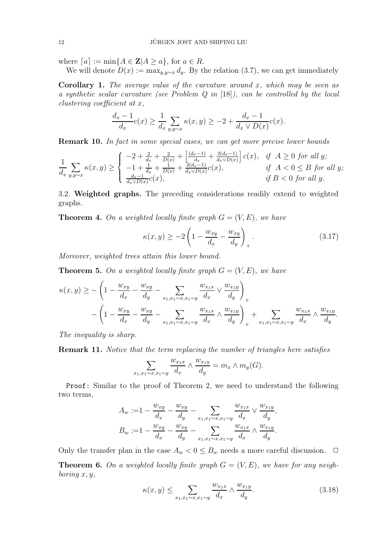where  $[a] := min\{A \in \mathbf{Z} | A \ge a\}$ , for  $a \in R$ .

We will denote  $D(x) := \max_{y,y \sim x} d_y$ . By the relation (3.7), we can get immediately

**Corollary 1.** The average value of the curvature around x, which may be seen as a synthetic scalar curvature (see Problem Q in [18]), can be controlled by the local clustering coefficient at x,

$$
\frac{d_x - 1}{d_x}c(x) \ge \frac{1}{d_x} \sum_{y, y \sim x} \kappa(x, y) \ge -2 + \frac{d_x - 1}{d_x \vee D(x)}c(x).
$$

Remark 10. In fact in some special cases, we can get more precise lower bounds

$$
\frac{1}{d_x} \sum_{y,y \sim x} \kappa(x,y) \ge \begin{cases} -2 + \frac{2}{d_x} + \frac{2}{D(x)} + \left[ \frac{(d_x - 1)}{d_x} + \frac{2(d_x - 1)}{d_x \vee D(x)} \right] c(x), & \text{if } A \ge 0 \text{ for all } y; \\ -1 + \frac{1}{d_x} + \frac{1}{D(x)} + \frac{2(d_x - 1)}{d_x \vee D(x)} c(x), & \text{if } A < 0 \le B \text{ for all } y; \\ \frac{d_x - 1}{d_x \vee D(x)} c(x), & \text{if } B < 0 \text{ for all } y. \end{cases}
$$

3.2. Weighted graphs. The preceding considerations readily extend to weighted graphs.

**Theorem 4.** On a weighted locally finite graph  $G = (V, E)$ , we have

$$
\kappa(x,y) \ge -2\left(1 - \frac{w_{xy}}{d_x} - \frac{w_{xy}}{d_y}\right)_+.
$$
\n(3.17)

Moreover, weighted trees attain this lower bound.

**Theorem 5.** On a weighted locally finite graph  $G = (V, E)$ , we have

$$
\kappa(x,y) \geq -\left(1 - \frac{w_{xy}}{d_x} - \frac{w_{xy}}{d_y} - \sum_{x_1, x_1 \sim x, x_1 \sim y} \frac{w_{x_1x}}{d_x} \vee \frac{w_{x_1y}}{d_y}\right)_{+}
$$

$$
-\left(1 - \frac{w_{xy}}{d_x} - \frac{w_{xy}}{d_y} - \sum_{x_1, x_1 \sim x, x_1 \sim y} \frac{w_{x_1x}}{d_x} \wedge \frac{w_{x_1y}}{d_y}\right)_{+} + \sum_{x_1, x_1 \sim x, x_1 \sim y} \frac{w_{x_1x}}{d_x} \wedge \frac{w_{x_1y}}{d_y}.
$$

The inequality is sharp.

Remark 11. Notice that the term replacing the number of triangles here satisfies

$$
\sum_{x_1, x_1 \sim x, x_1 \sim y} \frac{w_{x_1x}}{d_x} \wedge \frac{w_{x_1y}}{d_y} = m_x \wedge m_y(G).
$$

Proof: Similar to the proof of Theorem 2, we need to understand the following two terms,

$$
A_w := 1 - \frac{w_{xy}}{d_x} - \frac{w_{xy}}{d_y} - \sum_{x_1, x_1 \sim x, x_1 \sim y} \frac{w_{x_1x}}{d_x} \vee \frac{w_{x_1y}}{d_y},
$$
  

$$
B_w := 1 - \frac{w_{xy}}{d_x} - \frac{w_{xy}}{d_y} - \sum_{x_1, x_1 \sim x, x_1 \sim y} \frac{w_{x_1x}}{d_x} \wedge \frac{w_{x_1y}}{d_y}.
$$

Only the transfer plan in the case  $A_w < 0 \leq B_w$  needs a more careful discussion.  $\Box$ 

**Theorem 6.** On a weighted locally finite graph  $G = (V, E)$ , we have for any neighboring  $x, y$ ,

$$
\kappa(x,y) \le \sum_{x_1,x_1 \sim x, x_1 \sim y} \frac{w_{x_1x}}{d_x} \wedge \frac{w_{x_1y}}{d_y}.
$$
\n(3.18)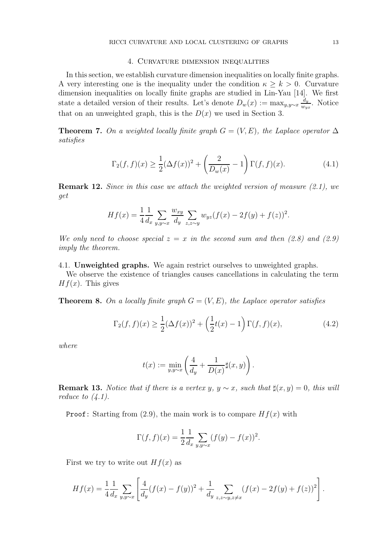#### 4. Curvature dimension inequalities

In this section, we establish curvature dimension inequalities on locally finite graphs. A very interesting one is the inequality under the condition  $\kappa > k > 0$ . Curvature dimension inequalities on locally finite graphs are studied in Lin-Yau [14]. We first state a detailed version of their results. Let's denote  $D_w(x) := \max_{y,y \sim x} \frac{d_y}{w_w}$  $\frac{a_y}{w_{yx}}$ . Notice that on an unweighted graph, this is the  $D(x)$  we used in Section 3.

**Theorem 7.** On a weighted locally finite graph  $G = (V, E)$ , the Laplace operator  $\Delta$ satisfies

$$
\Gamma_2(f, f)(x) \ge \frac{1}{2} (\Delta f(x))^2 + \left(\frac{2}{D_w(x)} - 1\right) \Gamma(f, f)(x).
$$
 (4.1)

**Remark 12.** Since in this case we attach the weighted version of measure  $(2.1)$ , we get

$$
Hf(x) = \frac{1}{4} \frac{1}{d_x} \sum_{y, y \sim x} \frac{w_{xy}}{d_y} \sum_{z, z \sim y} w_{yz} (f(x) - 2f(y) + f(z))^2.
$$

We only need to choose special  $z = x$  in the second sum and then (2.8) and (2.9) imply the theorem.

4.1. Unweighted graphs. We again restrict ourselves to unweighted graphs.

We observe the existence of triangles causes cancellations in calculating the term  $Hf(x)$ . This gives

**Theorem 8.** On a locally finite graph  $G = (V, E)$ , the Laplace operator satisfies

$$
\Gamma_2(f, f)(x) \ge \frac{1}{2} (\Delta f(x))^2 + \left(\frac{1}{2}t(x) - 1\right) \Gamma(f, f)(x),\tag{4.2}
$$

where

$$
t(x) := \min_{y,y \sim x} \left( \frac{4}{d_y} + \frac{1}{D(x)} \sharp(x,y) \right).
$$

**Remark 13.** Notice that if there is a vertex y,  $y \sim x$ , such that  $\sharp(x, y) = 0$ , this will reduce to  $(4.1)$ .

**Proof:** Starting from (2.9), the main work is to compare  $Hf(x)$  with

$$
\Gamma(f, f)(x) = \frac{1}{2} \frac{1}{d_x} \sum_{y, y \sim x} (f(y) - f(x))^2.
$$

First we try to write out  $Hf(x)$  as

$$
Hf(x) = \frac{1}{4} \frac{1}{d_x} \sum_{y,y \sim x} \left[ \frac{4}{d_y} (f(x) - f(y))^2 + \frac{1}{d_y} \sum_{z,z \sim y, z \neq x} (f(x) - 2f(y) + f(z))^2 \right].
$$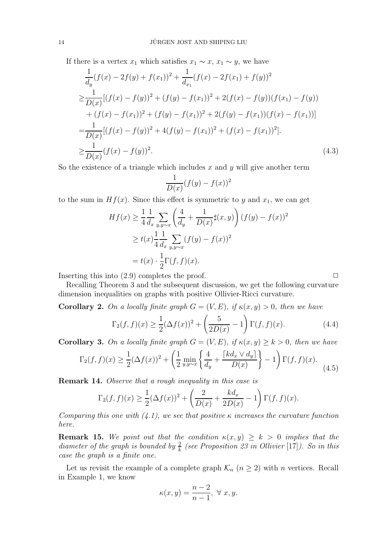If there is a vertex  $x_1$  which satisfies  $x_1 \sim x$ ,  $x_1 \sim y$ , we have

$$
\frac{1}{d_y}(f(x) - 2f(y) + f(x_1))^2 + \frac{1}{d_{x_1}}(f(x) - 2f(x_1) + f(y))^2
$$
\n
$$
\geq \frac{1}{D(x)}[(f(x) - f(y))^2 + (f(y) - f(x_1))^2 + 2(f(x) - f(y))(f(x_1) - f(y))
$$
\n
$$
+ (f(x) - f(x_1))^2 + (f(y) - f(x_1))^2 + 2(f(y) - f(x_1))(f(x) - f(x_1))]
$$
\n
$$
= \frac{1}{D(x)}[(f(x) - f(y))^2 + 4(f(y) - f(x_1))^2 + (f(x) - f(x_1))^2].
$$
\n
$$
\geq \frac{1}{D(x)}(f(x) - f(y))^2.
$$
\n(4.3)

So the existence of a triangle which includes x and  $\gamma$  will give another term

$$
\frac{1}{D(x)}(f(y) - f(x))^2
$$

to the sum in  $Hf(x)$ . Since this effect is symmetric to y and  $x_1$ , we can get

$$
Hf(x) \ge \frac{1}{4} \frac{1}{d_x} \sum_{y,y \sim x} \left( \frac{4}{d_y} + \frac{1}{D(x)} \sharp(x, y) \right) (f(y) - f(x))^2
$$
  
 
$$
\ge t(x) \frac{1}{4} \frac{1}{d_x} \sum_{y,y \sim x} (f(y) - f(x))^2
$$
  

$$
= t(x) \cdot \frac{1}{2} \Gamma(f, f)(x).
$$

Inserting this into  $(2.9)$  completes the proof.  $\Box$ 

Recalling Theorem 3 and the subsequent discussion, we get the following curvature dimension inequalities on graphs with positive Ollivier-Ricci curvature.

**Corollary 2.** On a locally finite graph  $G = (V, E)$ , if  $\kappa(x, y) > 0$ , then we have

$$
\Gamma_2(f, f)(x) \ge \frac{1}{2} (\Delta f(x))^2 + \left(\frac{5}{2D(x)} - 1\right) \Gamma(f, f)(x).
$$
 (4.4)

**Corollary 3.** On a locally finite graph  $G = (V, E)$ , if  $\kappa(x, y) \geq k > 0$ , then we have

$$
\Gamma_2(f, f)(x) \ge \frac{1}{2} (\Delta f(x))^2 + \left(\frac{1}{2} \min_{y, y \sim x} \left\{ \frac{4}{d_y} + \frac{\lceil kd_x \vee d_y \rceil}{D(x)} \right\} - 1\right) \Gamma(f, f)(x). \tag{4.5}
$$

Remark 14. Observe that a rough inequality in this case is

$$
\Gamma_2(f, f)(x) \ge \frac{1}{2} (\Delta f(x))^2 + \left(\frac{2}{D(x)} + \frac{kd_x}{2D(x)} - 1\right) \Gamma(f, f)(x).
$$

Comparing this one with  $(4.1)$ , we see that positive  $\kappa$  increases the curvature function here.

**Remark 15.** We point out that the condition  $\kappa(x, y) \geq k > 0$  implies that the diameter of the graph is bounded by  $\frac{2}{k}$  (see Proposition 23 in Ollivier [17]). So in this case the graph is a finite one.

Let us revisit the example of a complete graph  $\mathcal{K}_n$   $(n \geq 2)$  with n vertices. Recall in Example 1, we know

$$
\kappa(x,y) = \frac{n-2}{n-1}, \ \forall \ x, y.
$$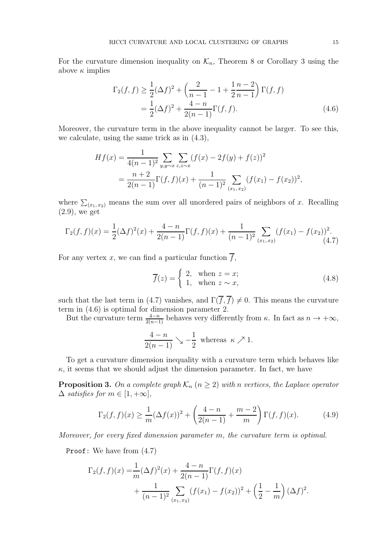For the curvature dimension inequality on  $\mathcal{K}_n$ , Theorem 8 or Corollary 3 using the above  $\kappa$  implies

$$
\Gamma_2(f, f) \ge \frac{1}{2} (\Delta f)^2 + \left( \frac{2}{n-1} - 1 + \frac{1}{2} \frac{n-2}{n-1} \right) \Gamma(f, f)
$$
  
=  $\frac{1}{2} (\Delta f)^2 + \frac{4-n}{2(n-1)} \Gamma(f, f).$  (4.6)

Moreover, the curvature term in the above inequality cannot be larger. To see this, we calculate, using the same trick as in (4.3),

$$
Hf(x) = \frac{1}{4(n-1)^2} \sum_{y,y \sim x} \sum_{z,z \sim x} (f(x) - 2f(y) + f(z))^2
$$
  
= 
$$
\frac{n+2}{2(n-1)} \Gamma(f,f)(x) + \frac{1}{(n-1)^2} \sum_{(x_1,x_2)} (f(x_1) - f(x_2))^2,
$$

where  $\sum_{(x_1, x_2)}$  means the sum over all unordered pairs of neighbors of x. Recalling (2.9), we get

$$
\Gamma_2(f,f)(x) = \frac{1}{2}(\Delta f)^2(x) + \frac{4-n}{2(n-1)}\Gamma(f,f)(x) + \frac{1}{(n-1)^2} \sum_{(x_1,x_2)} (f(x_1) - f(x_2))^2.
$$
\n(4.7)

For any vertex x, we can find a particular function  $\overline{f}$ ,

$$
\overline{f}(z) = \begin{cases} 2, & \text{when } z = x; \\ 1, & \text{when } z \sim x, \end{cases}
$$
 (4.8)

such that the last term in (4.7) vanishes, and  $\Gamma(\overline{f}, \overline{f}) \neq 0$ . This means the curvature term in (4.6) is optimal for dimension parameter 2.

But the curvature term  $\frac{4-n}{2(n-1)}$  behaves very differently from  $\kappa$ . In fact as  $n \to +\infty$ ,

$$
\frac{4-n}{2(n-1)} \searrow -\frac{1}{2}
$$
 whereas  $\kappa \nearrow 1$ .

To get a curvature dimension inequality with a curvature term which behaves like  $\kappa$ , it seems that we should adjust the dimension parameter. In fact, we have

**Proposition 3.** On a complete graph  $\mathcal{K}_n$  ( $n \geq 2$ ) with n vertices, the Laplace operator  $\Delta$  satisfies for  $m \in [1, +\infty]$ ,

$$
\Gamma_2(f, f)(x) \ge \frac{1}{m} (\Delta f(x))^2 + \left(\frac{4-n}{2(n-1)} + \frac{m-2}{m}\right) \Gamma(f, f)(x).
$$
 (4.9)

Moreover, for every fixed dimension parameter m, the curvature term is optimal.

Proof: We have from (4.7)

$$
\Gamma_2(f, f)(x) = \frac{1}{m} (\Delta f)^2(x) + \frac{4-n}{2(n-1)} \Gamma(f, f)(x)
$$
  
+ 
$$
\frac{1}{(n-1)^2} \sum_{(x_1, x_2)} (f(x_1) - f(x_2))^2 + \left(\frac{1}{2} - \frac{1}{m}\right) (\Delta f)^2.
$$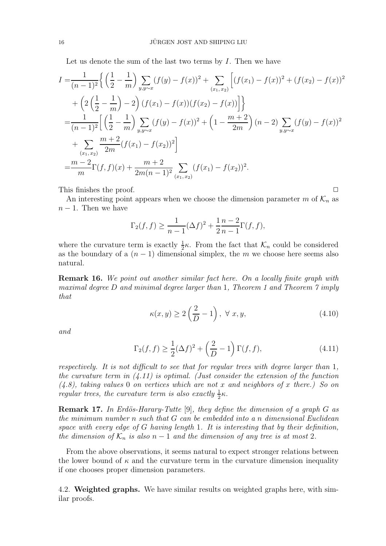Let us denote the sum of the last two terms by  $I$ . Then we have

$$
I = \frac{1}{(n-1)^2} \left\{ \left( \frac{1}{2} - \frac{1}{m} \right) \sum_{y,y \sim x} (f(y) - f(x))^2 + \sum_{(x_1,x_2)} \left[ (f(x_1) - f(x))^2 + (f(x_2) - f(x))^2 \right] \right\} + \left( 2 \left( \frac{1}{2} - \frac{1}{m} \right) - 2 \right) (f(x_1) - f(x)) (f(x_2) - f(x)) \Big] = \frac{1}{(n-1)^2} \left[ \left( \frac{1}{2} - \frac{1}{m} \right) \sum_{y,y \sim x} (f(y) - f(x))^2 + \left( 1 - \frac{m+2}{2m} \right) (n-2) \sum_{y,y \sim x} (f(y) - f(x))^2 \right] + \sum_{(x_1,x_2)} \frac{m+2}{2m} (f(x_1) - f(x_2))^2 \Big] = \frac{m-2}{m} \Gamma(f,f)(x) + \frac{m+2}{2m(n-1)^2} \sum_{(x_1,x_2)} (f(x_1) - f(x_2))^2.
$$

This finishes the proof.  $\Box$ 

An interesting point appears when we choose the dimension parameter m of  $\mathcal{K}_n$  as  $n-1$ . Then we have

$$
\Gamma_2(f, f) \ge \frac{1}{n-1} (\Delta f)^2 + \frac{1}{2} \frac{n-2}{n-1} \Gamma(f, f),
$$

where the curvature term is exactly  $\frac{1}{2}\kappa$ . From the fact that  $\mathcal{K}_n$  could be considered as the boundary of a  $(n-1)$  dimensional simplex, the m we choose here seems also natural.

Remark 16. We point out another similar fact here. On a locally finite graph with maximal degree D and minimal degree larger than 1, Theorem 1 and Theorem 7 imply that

$$
\kappa(x, y) \ge 2\left(\frac{2}{D} - 1\right), \ \forall \ x, y,
$$
\n(4.10)

and

$$
\Gamma_2(f,f) \ge \frac{1}{2}(\Delta f)^2 + \left(\frac{2}{D} - 1\right)\Gamma(f,f),\tag{4.11}
$$

respectively. It is not difficult to see that for regular trees with degree larger than 1, the curvature term in  $(4.11)$  is optimal. (Just consider the extension of the function  $(4.8)$ , taking values 0 on vertices which are not x and neighbors of x there.) So on regular trees, the curvature term is also exactly  $\frac{1}{2}\kappa$ .

**Remark 17.** In Erdös-Harary-Tutte [9], they define the dimension of a graph  $G$  as the minimum number n such that G can be embedded into a n dimensional Euclidean space with every edge of G having length 1. It is interesting that by their definition, the dimension of  $\mathcal{K}_n$  is also  $n-1$  and the dimension of any tree is at most 2.

From the above observations, it seems natural to expect stronger relations between the lower bound of  $\kappa$  and the curvature term in the curvature dimension inequality if one chooses proper dimension parameters.

4.2. Weighted graphs. We have similar results on weighted graphs here, with similar proofs.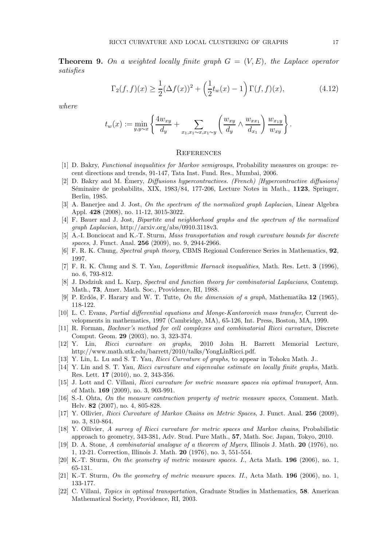**Theorem 9.** On a weighted locally finite graph  $G = (V, E)$ , the Laplace operator satisfies

$$
\Gamma_2(f, f)(x) \ge \frac{1}{2} (\Delta f(x))^2 + \left(\frac{1}{2} t_w(x) - 1\right) \Gamma(f, f)(x),\tag{4.12}
$$

where

$$
t_w(x) := \min_{y,y \sim x} \left\{ \frac{4w_{xy}}{d_y} + \sum_{x_1,x_1 \sim x, x_1 \sim y} \left( \frac{w_{xy}}{d_y} \wedge \frac{w_{xx_1}}{d_{x_1}} \right) \frac{w_{x_1y}}{w_{xy}} \right\}.
$$

#### **REFERENCES**

- [1] D. Bakry, Functional inequalities for Markov semigroups, Probability measures on groups: recent directions and trends, 91-147, Tata Inst. Fund. Res., Mumbai, 2006.
- [2] D. Bakry and M. Émery, *Diffusions hypercontractives. (French) [Hypercontractive diffusions]* Séminaire de probabilits, XIX, 1983/84, 177-206, Lecture Notes in Math., 1123, Springer, Berlin, 1985.
- [3] A. Banerjee and J. Jost, On the spectrum of the normalized graph Laplacian, Linear Algebra Appl. 428 (2008), no. 11-12, 3015-3022.
- [4] F. Bauer and J. Jost, Bipartite and neighborhood graphs and the spectrum of the normalized graph Laplacian, http://arxiv.org/abs/0910.3118v3.
- [5] A.-I. Bonciocat and K.-T. Sturm, Mass transportation and rough curvature bounds for discrete spaces, J. Funct. Anal. **256** (2009), no. 9, 2944-2966.
- [6] F. R. K. Chung, Spectral graph theory, CBMS Regional Conference Series in Mathematics, 92, 1997.
- [7] F. R. K. Chung and S. T. Yau, Logarithmic Harnack inequalities, Math. Res. Lett. 3 (1996), no. 6, 793-812.
- [8] J. Dodziuk and L. Karp, Spectral and function theory for combinatorial Laplacians, Contemp. Math., 73, Amer. Math. Soc., Providence, RI, 1988.
- [9] P. Erdös, F. Harary and W. T. Tutte, On the dimension of a graph, Mathematika  $12$  (1965), 118-122.
- [10] L. C. Evans, Partial differential equations and Monge-Kantorovich mass transfer, Current developments in mathematics, 1997 (Cambridge, MA), 65-126, Int. Press, Boston, MA, 1999.
- [11] R. Forman, Bochner's method for cell complexes and combinatorial Ricci curvature, Discrete Comput. Geom. 29 (2003), no. 3, 323-374.
- [12] Y. Lin, Ricci curvature on graphs, 2010 John H. Barrett Memorial Lecture, http://www.math.utk.edu/barrett/2010/talks/YongLinRicci.pdf.
- [13] Y. Lin, L. Lu and S. T. Yau, Ricci Curvature of graphs, to appear in Tohoku Math. J..
- [14] Y. Lin and S. T. Yau, Ricci curvature and eigenvalue estimate on locally finite graphs, Math. Res. Lett. 17 (2010), no. 2, 343-356.
- [15] J. Lott and C. Villani, Ricci curvature for metric measure spaces via optimal transport, Ann. of Math. 169 (2009), no. 3, 903-991.
- [16] S.-I. Ohta, On the measure contraction property of metric measure spaces, Comment. Math. Helv. 82 (2007), no. 4, 805-828.
- [17] Y. Ollivier, Ricci Curvature of Markov Chains on Metric Spaces, J. Funct. Anal. 256 (2009), no. 3, 810-864.
- [18] Y. Ollivier, A survey of Ricci curvature for metric spaces and Markov chains, Probabilistic approach to geometry, 343-381, Adv. Stud. Pure Math., 57, Math. Soc. Japan, Tokyo, 2010.
- [19] D. A. Stone, A combinatorial analogue of a theorem of Myers, Illinois J. Math. 20 (1976), no. 1, 12-21. Correction, Illinois J. Math. 20 (1976), no. 3, 551-554.
- [20] K.-T. Sturm, On the geometry of metric measure spaces. I., Acta Math. 196 (2006), no. 1, 65-131.
- [21] K.-T. Sturm, On the geometry of metric measure spaces. II., Acta Math. 196 (2006), no. 1, 133-177.
- [22] C. Villani, Topics in optimal transportation, Graduate Studies in Mathematics, 58. American Mathematical Society, Providence, RI, 2003.